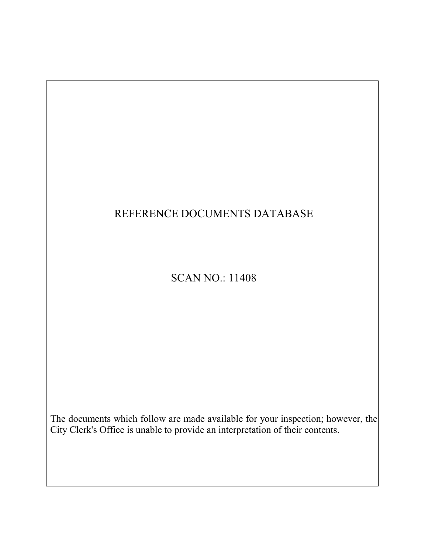# REFERENCE DOCUMENTS DATABASE

# SCAN NO.: 11408

The documents which follow are made available for your inspection; however, the City Clerk's Office is unable to provide an interpretation of their contents.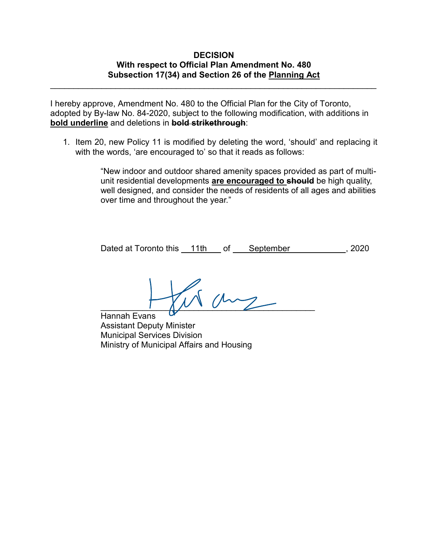# **DECISION With respect to Official Plan Amendment No. 480 Subsection 17(34) and Section 26 of the Planning Act**

\_\_\_\_\_\_\_\_\_\_\_\_\_\_\_\_\_\_\_\_\_\_\_\_\_\_\_\_\_\_\_\_\_\_\_\_\_\_\_\_\_\_\_\_\_\_\_\_\_\_\_\_\_\_\_\_\_\_\_\_\_\_\_\_\_\_\_\_\_\_

I hereby approve, Amendment No. 480 to the Official Plan for the City of Toronto, adopted by By-law No. 84-2020, subject to the following modification, with additions in **bold underline** and deletions in **bold strikethrough**:

1. Item 20, new Policy 11 is modified by deleting the word, 'should' and replacing it with the words, 'are encouraged to' so that it reads as follows:

> "New indoor and outdoor shared amenity spaces provided as part of multiunit residential developments **are encouraged to should** be high quality, well designed, and consider the needs of residents of all ages and abilities over time and throughout the year."

Dated at Toronto this 11th of September , 2020

 $\overline{\phantom{a}}$ 

Hannah Evans Assistant Deputy Minister Municipal Services Division Ministry of Municipal Affairs and Housing